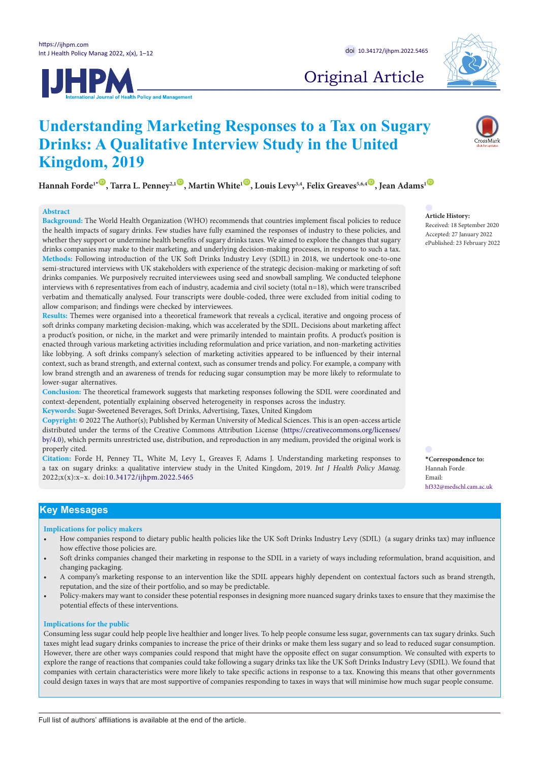**Kingdom, 2019**





# Original Article

## $\text{Hannah Forde1*}^{\bullet}$  $\text{Hannah Forde1*}^{\bullet}$  $\text{Hannah Forde1*}^{\bullet}$ , Tarra L. Penney<sup>2,1</sup>  $\bullet$ , Martin White<sup>1</sup>  $\bullet$ , Louis Levy<sup>3,4</sup>, Felix Greaves<sup>5,6,4</sup>  $\bullet$ , Jean Adams<sup>1</sup>  $\bullet$

**Understanding Marketing Responses to a Tax on Sugary** 

**Drinks: A Qualitative Interview Study in the United** 

## **Abstract**

**Background:** The World Health Organization (WHO) recommends that countries implement fiscal policies to reduce the health impacts of sugary drinks. Few studies have fully examined the responses of industry to these policies, and whether they support or undermine health benefits of sugary drinks taxes. We aimed to explore the changes that sugary drinks companies may make to their marketing, and underlying decision-making processes, in response to such a tax. **Methods:** Following introduction of the UK Soft Drinks Industry Levy (SDIL) in 2018, we undertook one-to-one semi-structured interviews with UK stakeholders with experience of the strategic decision-making or marketing of soft drinks companies. We purposively recruited interviewees using seed and snowball sampling. We conducted telephone interviews with 6 representatives from each of industry, academia and civil society (total n=18), which were transcribed verbatim and thematically analysed. Four transcripts were double-coded, three were excluded from initial coding to allow comparison; and findings were checked by interviewees.

**Results:** Themes were organised into a theoretical framework that reveals a cyclical, iterative and ongoing process of soft drinks company marketing decision-making, which was accelerated by the SDIL. Decisions about marketing affect a product's position, or niche, in the market and were primarily intended to maintain profits. A product's position is enacted through various marketing activities including reformulation and price variation, and non-marketing activities like lobbying. A soft drinks company's selection of marketing activities appeared to be influenced by their internal context, such as brand strength, and external context, such as consumer trends and policy. For example, a company with low brand strength and an awareness of trends for reducing sugar consumption may be more likely to reformulate to lower-sugar alternatives.

**Conclusion:** The theoretical framework suggests that marketing responses following the SDIL were coordinated and context-dependent, potentially explaining observed heterogeneity in responses across the industry.

**Keywords:** Sugar-Sweetened Beverages, Soft Drinks, Advertising, Taxes, United Kingdom

**Copyright:** © 2022 The Author(s); Published by Kerman University of Medical Sciences. This is an open-access article distributed under the terms of the Creative Commons Attribution License [\(https://creativecommons.org/licenses/](https://creativecommons.org/licenses/by/4.0/) [by/4.0\)](https://creativecommons.org/licenses/by/4.0/), which permits unrestricted use, distribution, and reproduction in any medium, provided the original work is properly cited.

**Citation:** Forde H, Penney TL, White M, Levy L, Greaves F, Adams J. Understanding marketing responses to a tax on sugary drinks: a qualitative interview study in the United Kingdom, 2019. *Int J Health Policy Manag.*  2022;x(x):x–x. doi:[10.34172/ijhpm.2022.5465](https://doi.org/10.34172/ijhpm.2022.5465 )

**Key Messages** 

## **Implications for policy makers**

- How companies respond to dietary public health policies like the UK Soft Drinks Industry Levy (SDIL) (a sugary drinks tax) may influence how effective those policies are.
- Soft drinks companies changed their marketing in response to the SDIL in a variety of ways including reformulation, brand acquisition, and changing packaging.
- A company's marketing response to an intervention like the SDIL appears highly dependent on contextual factors such as brand strength, reputation, and the size of their portfolio, and so may be predictable.
- Policy-makers may want to consider these potential responses in designing more nuanced sugary drinks taxes to ensure that they maximise the potential effects of these interventions.

### **Implications for the public**

Consuming less sugar could help people live healthier and longer lives. To help people consume less sugar, governments can tax sugary drinks. Such taxes might lead sugary drinks companies to increase the price of their drinks or make them less sugary and so lead to reduced sugar consumption. However, there are other ways companies could respond that might have the opposite effect on sugar consumption. We consulted with experts to explore the range of reactions that companies could take following a sugary drinks tax like the UK Soft Drinks Industry Levy (SDIL). We found that companies with certain characteristics were more likely to take specific actions in response to a tax. Knowing this means that other governments could design taxes in ways that are most supportive of companies responding to taxes in ways that will minimise how much sugar people consume.

**Article History:** Received: 18 September 2020 Accepted: 27 January 2022

ePublished: 23 February 2022

<span id="page-0-0"></span>**\*Correspondence to:** Hannah Forde Email: hf332@medschl.cam.ac.uk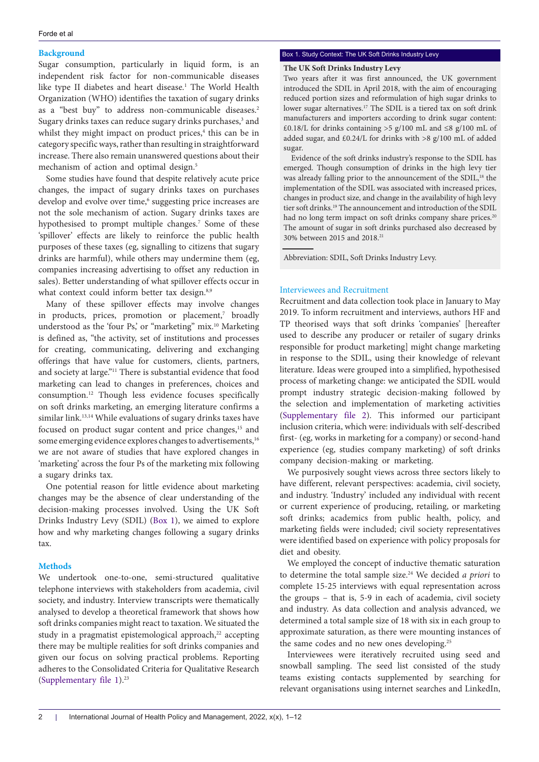## **Background**

Sugar consumption, particularly in liquid form, is an independent risk factor for non-communicable diseases like type II diabetes and heart disease.<sup>1</sup> The World Health Organization (WHO) identifies the taxation of sugary drinks as a "best buy" to address non-communicable diseases.<sup>2</sup> Sugary drinks taxes can reduce sugary drinks purchases,<sup>3</sup> and whilst they might impact on product prices,<sup>4</sup> this can be in category specific ways, rather than resulting in straightforward increase. There also remain unanswered questions about their mechanism of action and optimal design.<sup>5</sup>

Some studies have found that despite relatively acute price changes, the impact of sugary drinks taxes on purchases develop and evolve over time,<sup>6</sup> suggesting price increases are not the sole mechanism of action. Sugary drinks taxes are hypothesised to prompt multiple changes.<sup>7</sup> Some of these 'spillover' effects are likely to reinforce the public health purposes of these taxes (eg, signalling to citizens that sugary drinks are harmful), while others may undermine them (eg, companies increasing advertising to offset any reduction in sales). Better understanding of what spillover effects occur in what context could inform better tax design.<sup>8,9</sup>

Many of these spillover effects may involve changes in products, prices, promotion or placement,<sup>7</sup> broadly understood as the 'four Ps,' or "marketing" mix.<sup>10</sup> Marketing is defined as, "the activity, set of institutions and processes for creating, communicating, delivering and exchanging offerings that have value for customers, clients, partners, and society at large."11 There is substantial evidence that food marketing can lead to changes in preferences, choices and consumption.12 Though less evidence focuses specifically on soft drinks marketing, an emerging literature confirms a similar link.<sup>13,14</sup> While evaluations of sugary drinks taxes have focused on product sugar content and price changes,<sup>15</sup> and some emerging evidence explores changes to advertisements,<sup>16</sup> we are not aware of studies that have explored changes in 'marketing' across the four Ps of the marketing mix following a sugary drinks tax.

One potential reason for little evidence about marketing changes may be the absence of clear understanding of the decision-making processes involved. Using the UK Soft Drinks Industry Levy (SDIL) [\(Box 1](#page-1-0)), we aimed to explore how and why marketing changes following a sugary drinks tax.

## **Methods**

We undertook one-to-one, semi-structured qualitative telephone interviews with stakeholders from academia, civil society, and industry. Interview transcripts were thematically analysed to develop a theoretical framework that shows how soft drinks companies might react to taxation. We situated the study in a pragmatist epistemological approach,<sup>22</sup> accepting there may be multiple realities for soft drinks companies and given our focus on solving practical problems. Reporting adheres to the Consolidated Criteria for Qualitative Research (Supplementary file  $1$ ).<sup>23</sup>

## <span id="page-1-0"></span>Box 1. Study Context: The UK Soft Drinks Industry Levy

## **The UK Soft Drinks Industry Levy**

Two years after it was first announced, the UK government introduced the SDIL in April 2018, with the aim of encouraging reduced portion sizes and reformulation of high sugar drinks to lower sugar alternatives.<sup>17</sup> The SDIL is a tiered tax on soft drink manufacturers and importers according to drink sugar content: £0.18/L for drinks containing >5 g/100 mL and  $\leq$ 8 g/100 mL of added sugar, and £0.24/L for drinks with >8 g/100 mL of added sugar.

Evidence of the soft drinks industry's response to the SDIL has emerged. Though consumption of drinks in the high levy tier was already falling prior to the announcement of the SDIL,<sup>18</sup> the implementation of the SDIL was associated with increased prices, changes in product size, and change in the availability of high levy tier soft drinks.19 The announcement and introduction of the SDIL had no long term impact on soft drinks company share prices.<sup>20</sup> The amount of sugar in soft drinks purchased also decreased by 30% between 2015 and 2018.21

Abbreviation: SDIL, Soft Drinks Industry Levy.

## Interviewees and Recruitment

Recruitment and data collection took place in January to May 2019. To inform recruitment and interviews, authors HF and TP theorised ways that soft drinks 'companies' [hereafter used to describe any producer or retailer of sugary drinks responsible for product marketing] might change marketing in response to the SDIL, using their knowledge of relevant literature. Ideas were grouped into a simplified, hypothesised process of marketing change: we anticipated the SDIL would prompt industry strategic decision-making followed by the selection and implementation of marketing activities [\(Supplementary file 2\)](#page-10-1). This informed our participant inclusion criteria, which were: individuals with self-described first- (eg, works in marketing for a company) or second-hand experience (eg, studies company marketing) of soft drinks company decision-making or marketing.

We purposively sought views across three sectors likely to have different, relevant perspectives: academia, civil society, and industry. 'Industry' included any individual with recent or current experience of producing, retailing, or marketing soft drinks; academics from public health, policy, and marketing fields were included; civil society representatives were identified based on experience with policy proposals for diet and obesity.

We employed the concept of inductive thematic saturation to determine the total sample size.24 We decided *a priori* to complete 15-25 interviews with equal representation across the groups – that is, 5-9 in each of academia, civil society and industry. As data collection and analysis advanced, we determined a total sample size of 18 with six in each group to approximate saturation, as there were mounting instances of the same codes and no new ones developing.<sup>25</sup>

Interviewees were iteratively recruited using seed and snowball sampling. The seed list consisted of the study teams existing contacts supplemented by searching for relevant organisations using internet searches and LinkedIn,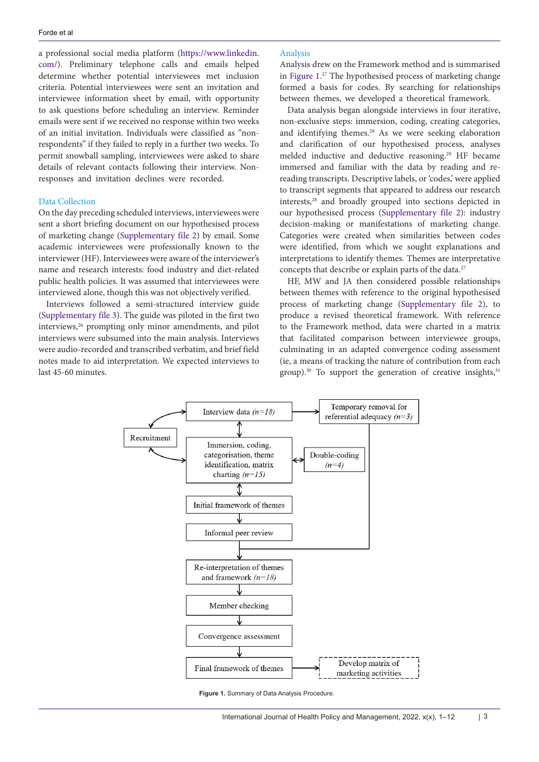a professional social media platform [\(https://www.linkedin.](https://www.linkedin.com/) [com/](https://www.linkedin.com/)). Preliminary telephone calls and emails helped determine whether potential interviewees met inclusion criteria. Potential interviewees were sent an invitation and interviewee information sheet by email, with opportunity to ask questions before scheduling an interview. Reminder emails were sent if we received no response within two weeks of an initial invitation. Individuals were classified as "nonrespondents" if they failed to reply in a further two weeks. To permit snowball sampling, interviewees were asked to share details of relevant contacts following their interview. Nonresponses and invitation declines were recorded.

## Data Collection

On the day preceding scheduled interviews, interviewees were sent a short briefing document on our hypothesised process of marketing change ([Supplementary file 2](#page-10-1)) by email. Some academic interviewees were professionally known to the interviewer (HF). Interviewees were aware of the interviewer's name and research interests: food industry and diet-related public health policies. It was assumed that interviewees were interviewed alone, though this was not objectively verified.

Interviews followed a semi-structured interview guide ([Supplementary file 3\)](#page-10-2). The guide was piloted in the first two interviews,<sup>26</sup> prompting only minor amendments, and pilot interviews were subsumed into the main analysis. Interviews were audio-recorded and transcribed verbatim, and brief field notes made to aid interpretation. We expected interviews to last 45-60 minutes.

## Analysis

Analysis drew on the Framework method and is summarised in [Figure 1](#page-2-0). 27 The hypothesised process of marketing change formed a basis for codes. By searching for relationships between themes, we developed a theoretical framework.

Data analysis began alongside interviews in four iterative, non-exclusive steps: immersion, coding, creating categories, and identifying themes.<sup>28</sup> As we were seeking elaboration and clarification of our hypothesised process, analyses melded inductive and deductive reasoning.29 HF became immersed and familiar with the data by reading and rereading transcripts. Descriptive labels, or 'codes,' were applied to transcript segments that appeared to address our research interests,28 and broadly grouped into sections depicted in our hypothesised process ([Supplementary file 2\)](#page-10-1): industry decision-making or manifestations of marketing change. Categories were created when similarities between codes were identified, from which we sought explanations and interpretations to identify themes. Themes are interpretative concepts that describe or explain parts of the data.<sup>27</sup>

HF, MW and JA then considered possible relationships between themes with reference to the original hypothesised process of marketing change [\(Supplementary file 2\)](#page-10-1), to produce a revised theoretical framework. With reference to the Framework method, data were charted in a matrix that facilitated comparison between interviewee groups, culminating in an adapted convergence coding assessment (ie, a means of tracking the nature of contribution from each group). $30$  To support the generation of creative insights, $31$ 

<span id="page-2-0"></span>

**Figure 1.** Summary of Data Analysis Procedure.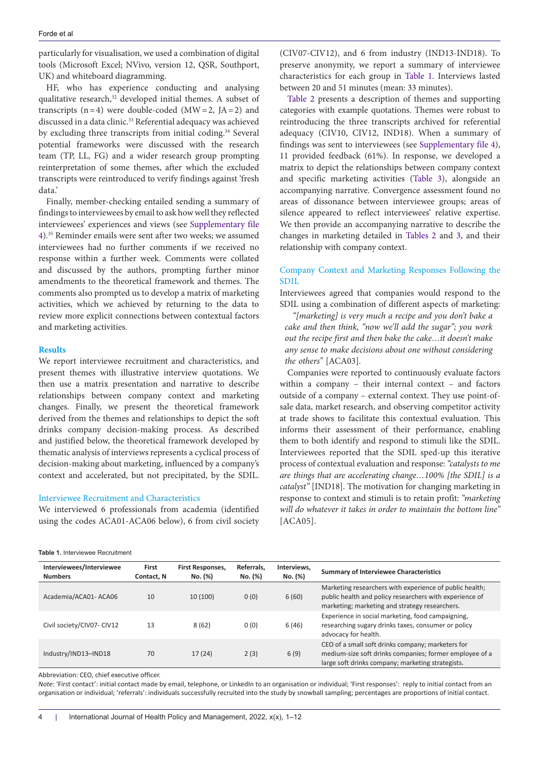particularly for visualisation, we used a combination of digital tools (Microsoft Excel; NVivo, version 12, QSR, Southport, UK) and whiteboard diagramming.

HF, who has experience conducting and analysing qualitative research,<sup>32</sup> developed initial themes. A subset of transcripts  $(n=4)$  were double-coded  $(MW=2, JA=2)$  and discussed in a data clinic.33 Referential adequacy was achieved by excluding three transcripts from initial coding.<sup>34</sup> Several potential frameworks were discussed with the research team (TP, LL, FG) and a wider research group prompting reinterpretation of some themes, after which the excluded transcripts were reintroduced to verify findings against 'fresh data.'

Finally, member-checking entailed sending a summary of findings to interviewees by email to ask how well they reflected interviewees' experiences and views (see [Supplementary file](#page-10-3) [4](#page-10-3)).35 Reminder emails were sent after two weeks; we assumed interviewees had no further comments if we received no response within a further week. Comments were collated and discussed by the authors, prompting further minor amendments to the theoretical framework and themes. The comments also prompted us to develop a matrix of marketing activities, which we achieved by returning to the data to review more explicit connections between contextual factors and marketing activities.

## **Results**

We report interviewee recruitment and characteristics, and present themes with illustrative interview quotations. We then use a matrix presentation and narrative to describe relationships between company context and marketing changes. Finally, we present the theoretical framework derived from the themes and relationships to depict the soft drinks company decision-making process. As described and justified below, the theoretical framework developed by thematic analysis of interviews represents a cyclical process of decision-making about marketing, influenced by a company's context and accelerated, but not precipitated, by the SDIL.

## Interviewee Recruitment and Characteristics

We interviewed 6 professionals from academia (identified using the codes ACA01-ACA06 below), 6 from civil society

(CIV07-CIV12), and 6 from industry (IND13-IND18). To preserve anonymity, we report a summary of interviewee characteristics for each group in [Table 1.](#page-3-0) Interviews lasted between 20 and 51 minutes (mean: 33 minutes).

[Table 2](#page-4-0) presents a description of themes and supporting categories with example quotations. Themes were robust to reintroducing the three transcripts archived for referential adequacy (CIV10, CIV12, IND18). When a summary of findings was sent to interviewees (see [Supplementary file 4](#page-10-3)), 11 provided feedback (61%). In response, we developed a matrix to depict the relationships between company context and specific marketing activities [\(Table 3](#page-5-0)), alongside an accompanying narrative. Convergence assessment found no areas of dissonance between interviewee groups; areas of silence appeared to reflect interviewees' relative expertise. We then provide an accompanying narrative to describe the changes in marketing detailed in [Tables 2](#page-4-0) and [3](#page-5-0), and their relationship with company context.

## Company Context and Marketing Responses Following the SDIL

Interviewees agreed that companies would respond to the SDIL using a combination of different aspects of marketing:

*"[marketing] is very much a recipe and you don't bake a cake and then think, "now we'll add the sugar"; you work out the recipe first and then bake the cake…it doesn't make any sense to make decisions about one without considering the others"* [ACA03].

Companies were reported to continuously evaluate factors within a company – their internal context – and factors outside of a company – external context. They use point-ofsale data, market research, and observing competitor activity at trade shows to facilitate this contextual evaluation. This informs their assessment of their performance, enabling them to both identify and respond to stimuli like the SDIL. Interviewees reported that the SDIL sped-up this iterative process of contextual evaluation and response: *"catalysts to me are things that are accelerating change…100% [the SDIL] is a catalyst"* [IND18]. The motivation for changing marketing in response to context and stimuli is to retain profit: *"marketing will do whatever it takes in order to maintain the bottom line"*  [ACA05].

| Interviewees/Interviewee<br><b>Numbers</b> | First<br>Contact, N | <b>First Responses,</b><br>No. (%) | Referrals.<br>No. (%) | Interviews,<br>No. (%) | <b>Summary of Interviewee Characteristics</b>                                                                                                                        |
|--------------------------------------------|---------------------|------------------------------------|-----------------------|------------------------|----------------------------------------------------------------------------------------------------------------------------------------------------------------------|
| Academia/ACA01-ACA06                       | 10                  | 10 (100)                           | 0(0)                  | 6(60)                  | Marketing researchers with experience of public health;<br>public health and policy researchers with experience of<br>marketing; marketing and strategy researchers. |
| Civil society/CIV07- CIV12                 | 13                  | 8(62)                              | 0(0)                  | 6(46)                  | Experience in social marketing, food campaigning,<br>researching sugary drinks taxes, consumer or policy<br>advocacy for health.                                     |
| Industry/IND13-IND18                       | 70                  | 17(24)                             | 2(3)                  | 6(9)                   | CEO of a small soft drinks company; marketers for<br>medium-size soft drinks companies; former employee of a<br>large soft drinks company; marketing strategists.    |

Abbreviation: CEO, chief executive officer.

<span id="page-3-0"></span>**Table 1.** Interviewee Recruitment

*Note*: 'First contact': initial contact made by email, telephone, or LinkedIn to an organisation or individual; 'First responses': reply to initial contact from an organisation or individual; 'referrals': individuals successfully recruited into the study by snowball sampling; percentages are proportions of initial contact.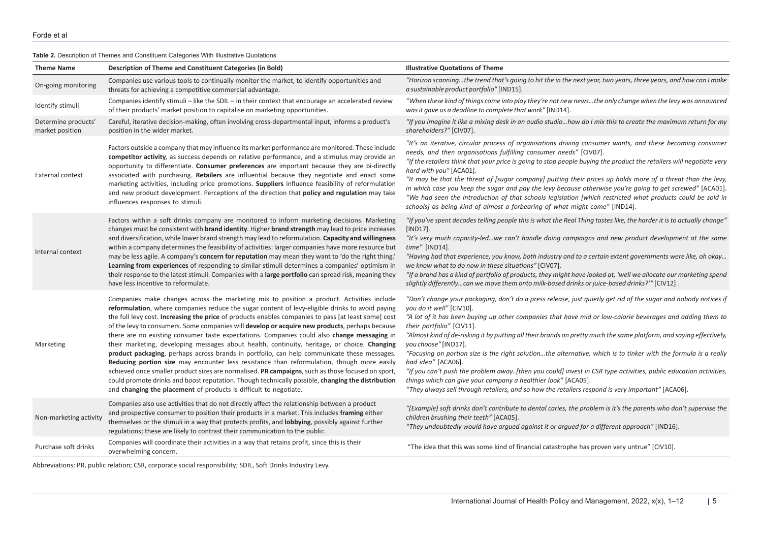**Table 2.** Description of Themes and Constituent Categories With Illustrative Quotations

| <b>Theme Name</b>                      | Description of Theme and Constituent Categories (in Bold)                                                                                                                                                                                                                                                                                                                                                                                                                                                                                                                                                                                                                                                                                                                                                                                                                                                                                                                                                                                                                        | <b>Illustrative Quotations of Theme</b>                                                                                                                                                                                                                                                                                                                                                                                                                                                                                                                                                                                                                                                                                                                                                                                                                                |
|----------------------------------------|----------------------------------------------------------------------------------------------------------------------------------------------------------------------------------------------------------------------------------------------------------------------------------------------------------------------------------------------------------------------------------------------------------------------------------------------------------------------------------------------------------------------------------------------------------------------------------------------------------------------------------------------------------------------------------------------------------------------------------------------------------------------------------------------------------------------------------------------------------------------------------------------------------------------------------------------------------------------------------------------------------------------------------------------------------------------------------|------------------------------------------------------------------------------------------------------------------------------------------------------------------------------------------------------------------------------------------------------------------------------------------------------------------------------------------------------------------------------------------------------------------------------------------------------------------------------------------------------------------------------------------------------------------------------------------------------------------------------------------------------------------------------------------------------------------------------------------------------------------------------------------------------------------------------------------------------------------------|
| On-going monitoring                    | Companies use various tools to continually monitor the market, to identify opportunities and<br>threats for achieving a competitive commercial advantage.                                                                                                                                                                                                                                                                                                                                                                                                                                                                                                                                                                                                                                                                                                                                                                                                                                                                                                                        | "Horizon scanningthe trend that's going to hit the in the next year, two years, three years, and how can I make<br>a sustainable product portfolio" [IND15].                                                                                                                                                                                                                                                                                                                                                                                                                                                                                                                                                                                                                                                                                                           |
| Identify stimuli                       | Companies identify stimuli - like the SDIL - in their context that encourage an accelerated review<br>of their products' market position to capitalise on marketing opportunities.                                                                                                                                                                                                                                                                                                                                                                                                                                                                                                                                                                                                                                                                                                                                                                                                                                                                                               | "When these kind of things come into play they're not new newsthe only change when the levy was announced<br>was it gave us a deadline to complete that work" [IND14].                                                                                                                                                                                                                                                                                                                                                                                                                                                                                                                                                                                                                                                                                                 |
| Determine products'<br>market position | Careful, iterative decision-making, often involving cross-departmental input, informs a product's<br>position in the wider market.                                                                                                                                                                                                                                                                                                                                                                                                                                                                                                                                                                                                                                                                                                                                                                                                                                                                                                                                               | "If you imagine it like a mixing desk in an audio studiohow do I mix this to create the maximum return for my<br>shareholders?" [CIV07].                                                                                                                                                                                                                                                                                                                                                                                                                                                                                                                                                                                                                                                                                                                               |
| <b>External context</b>                | Factors outside a company that may influence its market performance are monitored. These include<br>competitor activity, as success depends on relative performance, and a stimulus may provide an<br>opportunity to differentiate. Consumer preferences are important because they are bi-directly<br>associated with purchasing. Retailers are influential because they negotiate and enact some<br>marketing activities, including price promotions. Suppliers influence feasibility of reformulation<br>and new product development. Perceptions of the direction that policy and regulation may take<br>influences responses to stimuli.                                                                                                                                                                                                                                                                                                                                                                                                                                    | "It's an iterative, circular process of organisations driving consumer wants, and these becoming consumer<br>needs, and then organisations fulfilling consumer needs" [CIV07].<br>"If the retailers think that your price is going to stop people buying the product the retailers will negotiate very<br>hard with you" [ACA01].<br>"It may be that the threat of [sugar company] putting their prices up holds more of a threat than the levy,<br>in which case you keep the sugar and pay the levy because otherwise you're going to get screwed" [ACA01].<br>"We had seen the introduction of that schools legislation [which restricted what products could be sold in<br>schools] as being kind of almost a forbearing of what might come" [IND14].                                                                                                              |
| Internal context                       | Factors within a soft drinks company are monitored to inform marketing decisions. Marketing<br>changes must be consistent with brand identity. Higher brand strength may lead to price increases<br>and diversification, while lower brand strength may lead to reformulation. Capacity and willingness<br>within a company determines the feasibility of activities: larger companies have more resource but<br>may be less agile. A company's concern for reputation may mean they want to 'do the right thing.'<br>Learning from experiences of responding to similar stimuli determines a companies' optimism in<br>their response to the latest stimuli. Companies with a large portfolio can spread risk, meaning they<br>have less incentive to reformulate.                                                                                                                                                                                                                                                                                                              | "If you've spent decades telling people this is what the Real Thing tastes like, the harder it is to actually change"<br>$[IND17]$ .<br>"It's very much capacity-ledwe can't handle doing campaigns and new product development at the same<br>$time''$ [IND14].<br>"Having had that experience, you know, both industry and to a certain extent governments were like, oh okay<br>we know what to do now in these situations" [CIV07].<br>"If a brand has a kind of portfolio of products, they might have looked at, 'well we allocate our marketing spend<br>slightly differentlycan we move them onto milk-based drinks or juice-based drinks?" [CIV12].                                                                                                                                                                                                           |
| Marketing                              | Companies make changes across the marketing mix to position a product. Activities include<br>reformulation, where companies reduce the sugar content of levy-eligible drinks to avoid paying<br>the full levy cost. Increasing the price of products enables companies to pass [at least some] cost<br>of the levy to consumers. Some companies will develop or acquire new products, perhaps because<br>there are no existing consumer taste expectations. Companies could also change messaging in<br>their marketing, developing messages about health, continuity, heritage, or choice. Changing<br>product packaging, perhaps across brands in portfolio, can help communicate these messages.<br>Reducing portion size may encounter less resistance than reformulation, though more easily<br>achieved once smaller product sizes are normalised. PR campaigns, such as those focused on sport,<br>could promote drinks and boost reputation. Though technically possible, changing the distribution<br>and changing the placement of products is difficult to negotiate. | "Don't change your packaging, don't do a press release, just quietly get rid of the sugar and nobody notices if<br>you do it well" [CIV10].<br>"A lot of it has been buying up other companies that have mid or low-calorie beverages and adding them to<br>their portfolio" [CIV11].<br>"Almost kind of de-risking it by putting all their brands on pretty much the same platform, and saying effectively,<br>you choose" [IND17].<br>"Focusing on portion size is the right solutionthe alternative, which is to tinker with the formula is a really<br>bad idea" [ACA06].<br>"If you can't push the problem away[then you could] invest in CSR type activities, public education activities,<br>things which can give your company a healthier look" [ACA05].<br>"They always sell through retailers, and so how the retailers respond is very important" [ACA06]. |
| Non-marketing activity                 | Companies also use activities that do not directly affect the relationship between a product<br>and prospective consumer to position their products in a market. This includes framing either<br>themselves or the stimuli in a way that protects profits, and lobbying, possibly against further<br>regulations; these are likely to contrast their communication to the public.                                                                                                                                                                                                                                                                                                                                                                                                                                                                                                                                                                                                                                                                                                | "(Example) soft drinks don't contribute to dental caries, the problem is it's the parents who don't supervise the<br>children brushing their teeth" [ACA05].<br>"They undoubtedly would have argued against it or argued for a different approach" [IND16].                                                                                                                                                                                                                                                                                                                                                                                                                                                                                                                                                                                                            |
| Purchase soft drinks                   | Companies will coordinate their activities in a way that retains profit, since this is their<br>overwhelming concern.                                                                                                                                                                                                                                                                                                                                                                                                                                                                                                                                                                                                                                                                                                                                                                                                                                                                                                                                                            | "The idea that this was some kind of financial catastrophe has proven very untrue" [CIV10].                                                                                                                                                                                                                                                                                                                                                                                                                                                                                                                                                                                                                                                                                                                                                                            |

<span id="page-4-0"></span>Abbreviations: PR, public relation; CSR, corporate social responsibility; SDIL, Soft Drinks Industry Levy.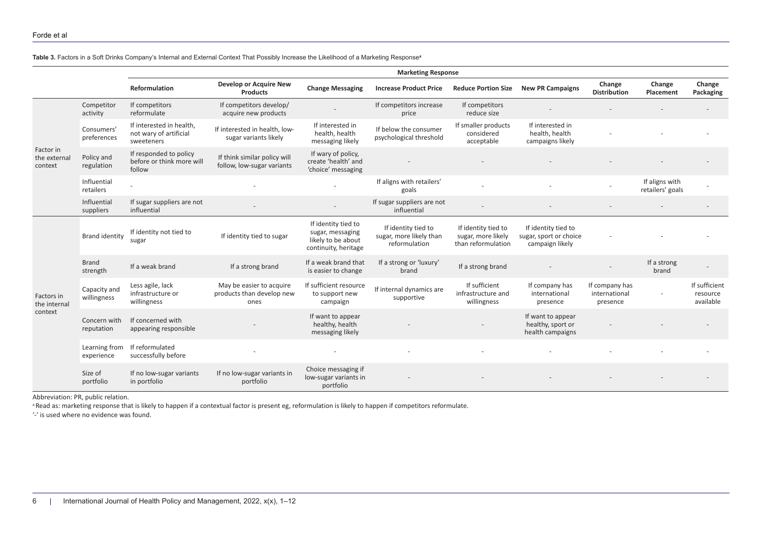**Table 3.** Factors in a Soft Drinks Company's Internal and External Context That Possibly Increase the Likelihood of a Marketing Response**<sup>a</sup>**

|                                       |                             | <b>Marketing Response</b>                                        |                                                               |                                                                                       |                                                                 |                                                                 |                                                                  |                                             |                                    |                                        |
|---------------------------------------|-----------------------------|------------------------------------------------------------------|---------------------------------------------------------------|---------------------------------------------------------------------------------------|-----------------------------------------------------------------|-----------------------------------------------------------------|------------------------------------------------------------------|---------------------------------------------|------------------------------------|----------------------------------------|
|                                       |                             | Reformulation                                                    | Develop or Acquire New<br><b>Products</b>                     | <b>Change Messaging</b>                                                               | <b>Increase Product Price</b>                                   | <b>Reduce Portion Size</b>                                      | <b>New PR Campaigns</b>                                          | Change<br><b>Distribution</b>               | Change<br>Placement                | Change<br>Packaging                    |
| Factor in<br>the external<br>context  | Competitor<br>activity      | If competitors<br>reformulate                                    | If competitors develop/<br>acquire new products               |                                                                                       | If competitors increase<br>price                                | If competitors<br>reduce size                                   |                                                                  |                                             |                                    |                                        |
|                                       | Consumers'<br>preferences   | If interested in health,<br>not wary of artificial<br>sweeteners | If interested in health, low-<br>sugar variants likely        | If interested in<br>health, health<br>messaging likely                                | If below the consumer<br>psychological threshold                | If smaller products<br>considered<br>acceptable                 | If interested in<br>health, health<br>campaigns likely           |                                             |                                    |                                        |
|                                       | Policy and<br>regulation    | If responded to policy<br>before or think more will<br>follow    | If think similar policy will<br>follow, low-sugar variants    | If wary of policy,<br>create 'health' and<br>'choice' messaging                       |                                                                 |                                                                 |                                                                  |                                             |                                    |                                        |
|                                       | Influential<br>retailers    |                                                                  |                                                               |                                                                                       | If aligns with retailers'<br>goals                              |                                                                 |                                                                  |                                             | If aligns with<br>retailers' goals |                                        |
|                                       | Influential<br>suppliers    | If sugar suppliers are not<br>influential                        |                                                               |                                                                                       | If sugar suppliers are not<br>influential                       |                                                                 |                                                                  |                                             |                                    |                                        |
| Factors in<br>the internal<br>context | <b>Brand identity</b>       | If identity not tied to<br>sugar                                 | If identity tied to sugar                                     | If identity tied to<br>sugar, messaging<br>likely to be about<br>continuity, heritage | If identity tied to<br>sugar, more likely than<br>reformulation | If identity tied to<br>sugar, more likely<br>than reformulation | If identity tied to<br>sugar, sport or choice<br>campaign likely |                                             |                                    |                                        |
|                                       | <b>Brand</b><br>strength    | If a weak brand                                                  | If a strong brand                                             | If a weak brand that<br>is easier to change                                           | If a strong or 'luxury'<br>brand                                | If a strong brand                                               |                                                                  |                                             | If a strong<br>brand               |                                        |
|                                       | Capacity and<br>willingness | Less agile, lack<br>infrastructure or<br>willingness             | May be easier to acquire<br>products than develop new<br>ones | If sufficient resource<br>to support new<br>campaign                                  | If internal dynamics are<br>supportive                          | If sufficient<br>infrastructure and<br>willingness              | If company has<br>international<br>presence                      | If company has<br>international<br>presence |                                    | If sufficient<br>resource<br>available |
|                                       | Concern with<br>reputation  | If concerned with<br>appearing responsible                       |                                                               | If want to appear<br>healthy, health<br>messaging likely                              |                                                                 |                                                                 | If want to appear<br>healthy, sport or<br>health campaigns       |                                             |                                    |                                        |
|                                       | Learning from<br>experience | If reformulated<br>successfully before                           |                                                               |                                                                                       |                                                                 |                                                                 |                                                                  |                                             |                                    |                                        |
|                                       | Size of<br>portfolio        | If no low-sugar variants<br>in portfolio                         | If no low-sugar variants in<br>portfolio                      | Choice messaging if<br>low-sugar variants in<br>portfolio                             |                                                                 |                                                                 |                                                                  |                                             |                                    |                                        |

<span id="page-5-0"></span>Abbreviation: PR, public relation.

<sup>a</sup> Read as: marketing response that is likely to happen if a contextual factor is present eg, reformulation is likely to happen if competitors reformulate.

'-' is used where no evidence was found.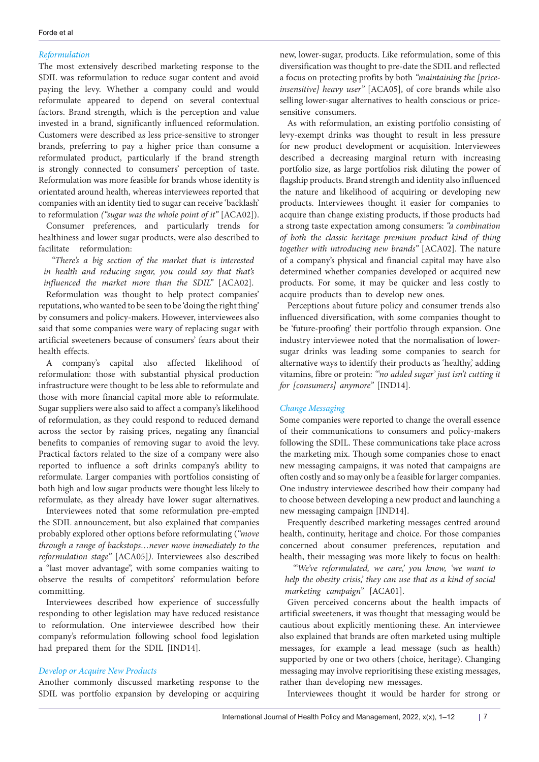## *Reformulation*

The most extensively described marketing response to the SDIL was reformulation to reduce sugar content and avoid paying the levy. Whether a company could and would reformulate appeared to depend on several contextual factors. Brand strength, which is the perception and value invested in a brand, significantly influenced reformulation. Customers were described as less price-sensitive to stronger brands, preferring to pay a higher price than consume a reformulated product, particularly if the brand strength is strongly connected to consumers' perception of taste. Reformulation was more feasible for brands whose identity is orientated around health, whereas interviewees reported that companies with an identity tied to sugar can receive 'backlash' to reformulation *("sugar was the whole point of it"* [ACA02]).

Consumer preferences, and particularly trends for healthiness and lower sugar products, were also described to facilitate reformulation:

*"There's a big section of the market that is interested in health and reducing sugar, you could say that that's influenced the market more than the SDIL"* [ACA02].

Reformulation was thought to help protect companies' reputations, who wanted to be seen to be 'doing the right thing' by consumers and policy-makers. However, interviewees also said that some companies were wary of replacing sugar with artificial sweeteners because of consumers' fears about their health effects.

A company's capital also affected likelihood of reformulation: those with substantial physical production infrastructure were thought to be less able to reformulate and those with more financial capital more able to reformulate. Sugar suppliers were also said to affect a company's likelihood of reformulation, as they could respond to reduced demand across the sector by raising prices, negating any financial benefits to companies of removing sugar to avoid the levy. Practical factors related to the size of a company were also reported to influence a soft drinks company's ability to reformulate. Larger companies with portfolios consisting of both high and low sugar products were thought less likely to reformulate, as they already have lower sugar alternatives.

Interviewees noted that some reformulation pre-empted the SDIL announcement, but also explained that companies probably explored other options before reformulating (*"move through a range of backstops…never move immediately to the reformulation stage"* [ACA05]*)*. Interviewees also described a "last mover advantage", with some companies waiting to observe the results of competitors' reformulation before committing.

Interviewees described how experience of successfully responding to other legislation may have reduced resistance to reformulation. One interviewee described how their company's reformulation following school food legislation had prepared them for the SDIL [IND14].

## *Develop or Acquire New Products*

Another commonly discussed marketing response to the SDIL was portfolio expansion by developing or acquiring

new, lower-sugar, products. Like reformulation, some of this diversification was thought to pre-date the SDIL and reflected a focus on protecting profits by both *"maintaining the [priceinsensitive] heavy user"* [ACA05], of core brands while also selling lower-sugar alternatives to health conscious or pricesensitive consumers.

As with reformulation, an existing portfolio consisting of levy-exempt drinks was thought to result in less pressure for new product development or acquisition. Interviewees described a decreasing marginal return with increasing portfolio size, as large portfolios risk diluting the power of flagship products. Brand strength and identity also influenced the nature and likelihood of acquiring or developing new products. Interviewees thought it easier for companies to acquire than change existing products, if those products had a strong taste expectation among consumers: *"a combination of both the classic heritage premium product kind of thing together with introducing new brands"* [ACA02]. The nature of a company's physical and financial capital may have also determined whether companies developed or acquired new products. For some, it may be quicker and less costly to acquire products than to develop new ones.

Perceptions about future policy and consumer trends also influenced diversification, with some companies thought to be 'future-proofing' their portfolio through expansion. One industry interviewee noted that the normalisation of lowersugar drinks was leading some companies to search for alternative ways to identify their products as 'healthy,' adding vitamins, fibre or protein: *"'no added sugar' just isn't cutting it for [consumers] anymore"* [IND14].

## *Change Messaging*

Some companies were reported to change the overall essence of their communications to consumers and policy-makers following the SDIL. These communications take place across the marketing mix. Though some companies chose to enact new messaging campaigns, it was noted that campaigns are often costly and so may only be a feasible for larger companies. One industry interviewee described how their company had to choose between developing a new product and launching a new messaging campaign [IND14].

Frequently described marketing messages centred around health, continuity, heritage and choice. For those companies concerned about consumer preferences, reputation and health, their messaging was more likely to focus on health:

*"'We've reformulated, we care,' you know, 'we want to help the obesity crisis,' they can use that as a kind of social marketing campaign"* [ACA01].

Given perceived concerns about the health impacts of artificial sweeteners, it was thought that messaging would be cautious about explicitly mentioning these. An interviewee also explained that brands are often marketed using multiple messages, for example a lead message (such as health) supported by one or two others (choice, heritage). Changing messaging may involve reprioritising these existing messages, rather than developing new messages.

Interviewees thought it would be harder for strong or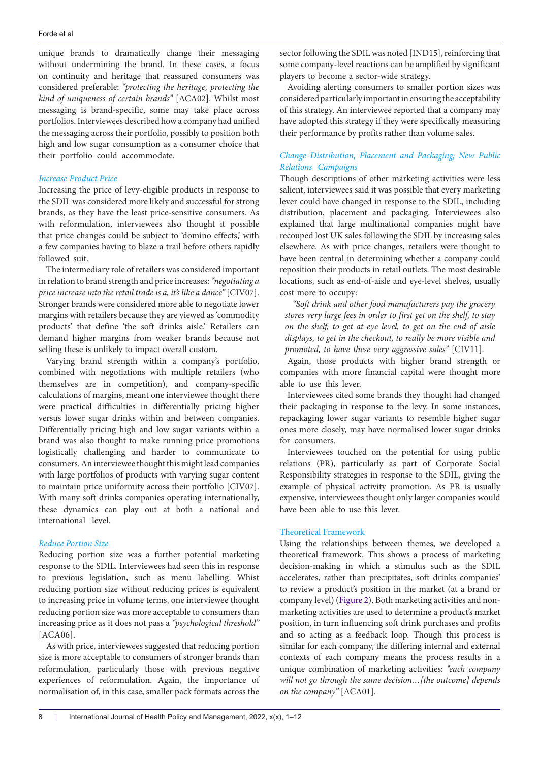unique brands to dramatically change their messaging without undermining the brand. In these cases, a focus on continuity and heritage that reassured consumers was considered preferable: *"protecting the heritage, protecting the kind of uniqueness of certain brands"* [ACA02]. Whilst most messaging is brand-specific, some may take place across portfolios. Interviewees described how a company had unified the messaging across their portfolio, possibly to position both high and low sugar consumption as a consumer choice that their portfolio could accommodate.

## *Increase Product Price*

Increasing the price of levy-eligible products in response to the SDIL was considered more likely and successful for strong brands, as they have the least price-sensitive consumers. As with reformulation, interviewees also thought it possible that price changes could be subject to 'domino effects,' with a few companies having to blaze a trail before others rapidly followed suit.

The intermediary role of retailers was considered important in relation to brand strength and price increases: *"negotiating a price increase into the retail trade is a, it's like a dance"* [CIV07]. Stronger brands were considered more able to negotiate lower margins with retailers because they are viewed as 'commodity products' that define 'the soft drinks aisle.' Retailers can demand higher margins from weaker brands because not selling these is unlikely to impact overall custom.

Varying brand strength within a company's portfolio, combined with negotiations with multiple retailers (who themselves are in competition), and company-specific calculations of margins, meant one interviewee thought there were practical difficulties in differentially pricing higher versus lower sugar drinks within and between companies. Differentially pricing high and low sugar variants within a brand was also thought to make running price promotions logistically challenging and harder to communicate to consumers. An interviewee thought this might lead companies with large portfolios of products with varying sugar content to maintain price uniformity across their portfolio [CIV07]. With many soft drinks companies operating internationally, these dynamics can play out at both a national and international level.

## *Reduce Portion Size*

Reducing portion size was a further potential marketing response to the SDIL. Interviewees had seen this in response to previous legislation, such as menu labelling. Whist reducing portion size without reducing prices is equivalent to increasing price in volume terms, one interviewee thought reducing portion size was more acceptable to consumers than increasing price as it does not pass a *"psychological threshold"*  [ACA06].

As with price, interviewees suggested that reducing portion size is more acceptable to consumers of stronger brands than reformulation, particularly those with previous negative experiences of reformulation. Again, the importance of normalisation of, in this case, smaller pack formats across the

sector following the SDIL was noted [IND15], reinforcing that some company-level reactions can be amplified by significant players to become a sector-wide strategy.

Avoiding alerting consumers to smaller portion sizes was considered particularly important in ensuring the acceptability of this strategy. An interviewee reported that a company may have adopted this strategy if they were specifically measuring their performance by profits rather than volume sales.

## *Change Distribution, Placement and Packaging; New Public Relations Campaigns*

Though descriptions of other marketing activities were less salient, interviewees said it was possible that every marketing lever could have changed in response to the SDIL, including distribution, placement and packaging. Interviewees also explained that large multinational companies might have recouped lost UK sales following the SDIL by increasing sales elsewhere. As with price changes, retailers were thought to have been central in determining whether a company could reposition their products in retail outlets. The most desirable locations, such as end-of-aisle and eye-level shelves, usually cost more to occupy:

*"Soft drink and other food manufacturers pay the grocery stores very large fees in order to first get on the shelf, to stay on the shelf, to get at eye level, to get on the end of aisle displays, to get in the checkout, to really be more visible and promoted, to have these very aggressive sales"* [CIV11].

Again, those products with higher brand strength or companies with more financial capital were thought more able to use this lever.

Interviewees cited some brands they thought had changed their packaging in response to the levy. In some instances, repackaging lower sugar variants to resemble higher sugar ones more closely, may have normalised lower sugar drinks for consumers.

Interviewees touched on the potential for using public relations (PR), particularly as part of Corporate Social Responsibility strategies in response to the SDIL, giving the example of physical activity promotion. As PR is usually expensive, interviewees thought only larger companies would have been able to use this lever.

## Theoretical Framework

Using the relationships between themes, we developed a theoretical framework. This shows a process of marketing decision-making in which a stimulus such as the SDIL accelerates, rather than precipitates, soft drinks companies' to review a product's position in the market (at a brand or company level) ([Figure 2](#page-8-0)). Both marketing activities and nonmarketing activities are used to determine a product's market position, in turn influencing soft drink purchases and profits and so acting as a feedback loop. Though this process is similar for each company, the differing internal and external contexts of each company means the process results in a unique combination of marketing activities: *"each company will not go through the same decision…[the outcome] depends on the company"* [ACA01].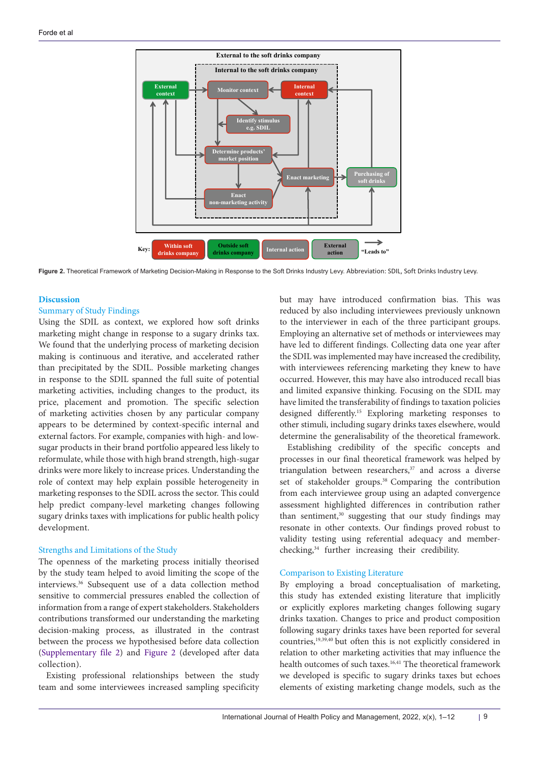<span id="page-8-0"></span>

Figure 2. Theoretical Framework of Marketing Decision-Making in Response to the Soft Drinks Industry Levy. Abbreviation: SDIL, Soft Drinks Industry Levy.

## **Discussion**

## Summary of Study Findings

Using the SDIL as context, we explored how soft drinks marketing might change in response to a sugary drinks tax. We found that the underlying process of marketing decision making is continuous and iterative, and accelerated rather than precipitated by the SDIL. Possible marketing changes in response to the SDIL spanned the full suite of potential marketing activities, including changes to the product, its price, placement and promotion. The specific selection of marketing activities chosen by any particular company appears to be determined by context-specific internal and external factors. For example, companies with high- and lowsugar products in their brand portfolio appeared less likely to reformulate, while those with high brand strength, high-sugar drinks were more likely to increase prices. Understanding the role of context may help explain possible heterogeneity in marketing responses to the SDIL across the sector. This could help predict company-level marketing changes following sugary drinks taxes with implications for public health policy development.

## Strengths and Limitations of the Study

The openness of the marketing process initially theorised by the study team helped to avoid limiting the scope of the interviews.36 Subsequent use of a data collection method sensitive to commercial pressures enabled the collection of information from a range of expert stakeholders. Stakeholders contributions transformed our understanding the marketing decision-making process, as illustrated in the contrast between the process we hypothesised before data collection ([Supplementary file 2](#page-10-1)) and [Figure 2](#page-8-0) (developed after data collection).

Existing professional relationships between the study team and some interviewees increased sampling specificity but may have introduced confirmation bias. This was reduced by also including interviewees previously unknown to the interviewer in each of the three participant groups. Employing an alternative set of methods or interviewees may have led to different findings. Collecting data one year after the SDIL was implemented may have increased the credibility, with interviewees referencing marketing they knew to have occurred. However, this may have also introduced recall bias and limited expansive thinking. Focusing on the SDIL may have limited the transferability of findings to taxation policies designed differently.15 Exploring marketing responses to other stimuli, including sugary drinks taxes elsewhere, would determine the generalisability of the theoretical framework.

Establishing credibility of the specific concepts and processes in our final theoretical framework was helped by triangulation between researchers, $37$  and across a diverse set of stakeholder groups.<sup>38</sup> Comparing the contribution from each interviewee group using an adapted convergence assessment highlighted differences in contribution rather than sentiment,<sup>30</sup> suggesting that our study findings may resonate in other contexts. Our findings proved robust to validity testing using referential adequacy and memberchecking,34 further increasing their credibility.

## Comparison to Existing Literature

By employing a broad conceptualisation of marketing, this study has extended existing literature that implicitly or explicitly explores marketing changes following sugary drinks taxation. Changes to price and product composition following sugary drinks taxes have been reported for several countries,19,39,40 but often this is not explicitly considered in relation to other marketing activities that may influence the health outcomes of such taxes.<sup>16,41</sup> The theoretical framework we developed is specific to sugary drinks taxes but echoes elements of existing marketing change models, such as the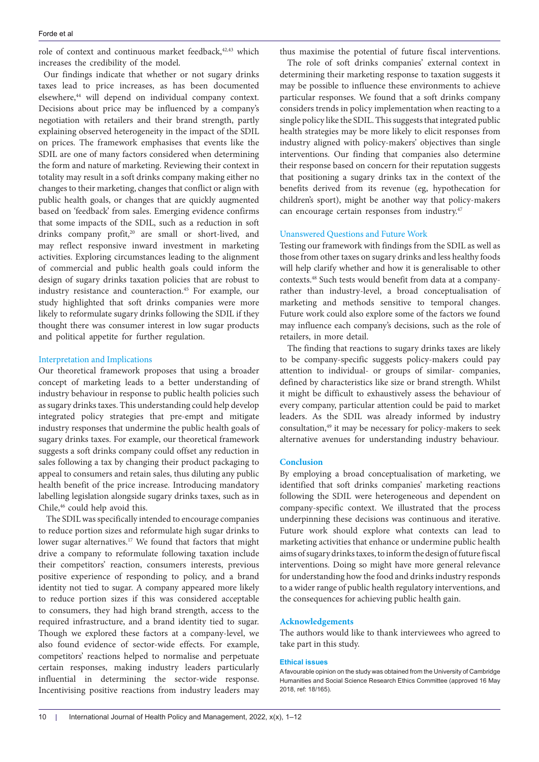role of context and continuous market feedback,<sup>42,43</sup> which increases the credibility of the model.

Our findings indicate that whether or not sugary drinks taxes lead to price increases, as has been documented elsewhere,<sup>44</sup> will depend on individual company context. Decisions about price may be influenced by a company's negotiation with retailers and their brand strength, partly explaining observed heterogeneity in the impact of the SDIL on prices. The framework emphasises that events like the SDIL are one of many factors considered when determining the form and nature of marketing. Reviewing their context in totality may result in a soft drinks company making either no changes to their marketing, changes that conflict or align with public health goals, or changes that are quickly augmented based on 'feedback' from sales. Emerging evidence confirms that some impacts of the SDIL, such as a reduction in soft drinks company profit,<sup>20</sup> are small or short-lived, and may reflect responsive inward investment in marketing activities. Exploring circumstances leading to the alignment of commercial and public health goals could inform the design of sugary drinks taxation policies that are robust to industry resistance and counteraction.45 For example, our study highlighted that soft drinks companies were more likely to reformulate sugary drinks following the SDIL if they thought there was consumer interest in low sugar products and political appetite for further regulation.

## Interpretation and Implications

Our theoretical framework proposes that using a broader concept of marketing leads to a better understanding of industry behaviour in response to public health policies such as sugary drinks taxes. This understanding could help develop integrated policy strategies that pre-empt and mitigate industry responses that undermine the public health goals of sugary drinks taxes. For example, our theoretical framework suggests a soft drinks company could offset any reduction in sales following a tax by changing their product packaging to appeal to consumers and retain sales, thus diluting any public health benefit of the price increase. Introducing mandatory labelling legislation alongside sugary drinks taxes, such as in Chile,<sup>46</sup> could help avoid this.

The SDIL was specifically intended to encourage companies to reduce portion sizes and reformulate high sugar drinks to lower sugar alternatives.<sup>17</sup> We found that factors that might drive a company to reformulate following taxation include their competitors' reaction, consumers interests, previous positive experience of responding to policy, and a brand identity not tied to sugar. A company appeared more likely to reduce portion sizes if this was considered acceptable to consumers, they had high brand strength, access to the required infrastructure, and a brand identity tied to sugar. Though we explored these factors at a company-level, we also found evidence of sector-wide effects. For example, competitors' reactions helped to normalise and perpetuate certain responses, making industry leaders particularly influential in determining the sector-wide response. Incentivising positive reactions from industry leaders may thus maximise the potential of future fiscal interventions.

The role of soft drinks companies' external context in determining their marketing response to taxation suggests it may be possible to influence these environments to achieve particular responses. We found that a soft drinks company considers trends in policy implementation when reacting to a single policy like the SDIL. This suggests that integrated public health strategies may be more likely to elicit responses from industry aligned with policy-makers' objectives than single interventions. Our finding that companies also determine their response based on concern for their reputation suggests that positioning a sugary drinks tax in the context of the benefits derived from its revenue (eg, hypothecation for children's sport), might be another way that policy-makers can encourage certain responses from industry.<sup>47</sup>

## Unanswered Questions and Future Work

Testing our framework with findings from the SDIL as well as those from other taxes on sugary drinks and less healthy foods will help clarify whether and how it is generalisable to other contexts.48 Such tests would benefit from data at a companyrather than industry-level, a broad conceptualisation of marketing and methods sensitive to temporal changes. Future work could also explore some of the factors we found may influence each company's decisions, such as the role of retailers, in more detail.

The finding that reactions to sugary drinks taxes are likely to be company-specific suggests policy-makers could pay attention to individual- or groups of similar- companies, defined by characteristics like size or brand strength. Whilst it might be difficult to exhaustively assess the behaviour of every company, particular attention could be paid to market leaders. As the SDIL was already informed by industry consultation,49 it may be necessary for policy-makers to seek alternative avenues for understanding industry behaviour.

## **Conclusion**

By employing a broad conceptualisation of marketing, we identified that soft drinks companies' marketing reactions following the SDIL were heterogeneous and dependent on company-specific context. We illustrated that the process underpinning these decisions was continuous and iterative. Future work should explore what contexts can lead to marketing activities that enhance or undermine public health aims of sugary drinks taxes, to inform the design of future fiscal interventions. Doing so might have more general relevance for understanding how the food and drinks industry responds to a wider range of public health regulatory interventions, and the consequences for achieving public health gain.

## **Acknowledgements**

The authors would like to thank interviewees who agreed to take part in this study.

## **Ethical issues**

A favourable opinion on the study was obtained from the University of Cambridge Humanities and Social Science Research Ethics Committee (approved 16 May 2018, ref: 18/165).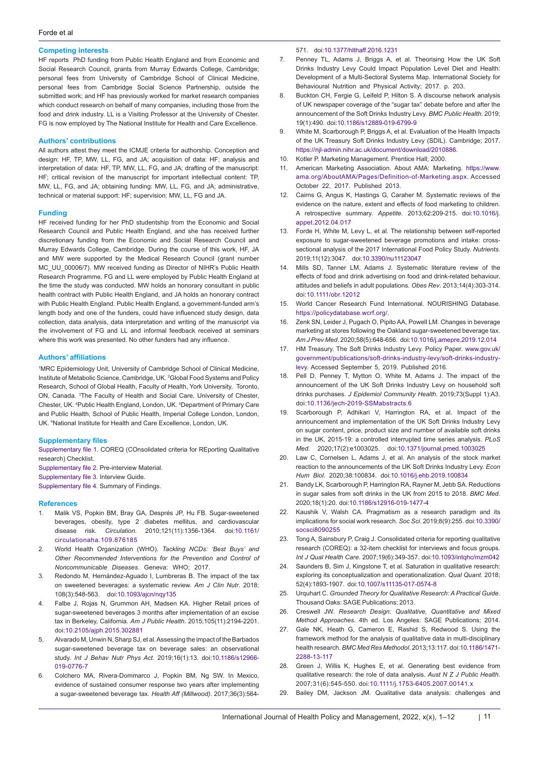## **Competing interests**

HF reports PhD funding from Public Health England and from Economic and Social Research Council, grants from Murray Edwards College, Cambridge; personal fees from University of Cambridge School of Clinical Medicine, personal fees from Cambridge Social Science Partnership, outside the submitted work; and HF has previously worked for market research companies which conduct research on behalf of many companies, including those from the food and drink industry. LL is a Visiting Professor at the University of Chester. FG is now employed by The National Institute for Health and Care Excellence.

## **Authors' contributions**

All authors attest they meet the ICMJE criteria for authorship. Conception and design: HF, TP, MW, LL, FG, and JA; acquisition of data: HF; analysis and interpretation of data: HF, TP, MW, LL, FG, and JA; drafting of the manuscript: HF; critical revision of the manuscript for important intellectual content: TP, MW, LL, FG, and JA; obtaining funding: MW, LL, FG, and JA; administrative, technical or material support: HF; supervision: MW, LL, FG and JA.

### **Funding**

HF received funding for her PhD studentship from the Economic and Social Research Council and Public Health England, and she has received further discretionary funding from the Economic and Social Research Council and Murray Edwards College, Cambridge. During the course of this work, HF, JA and MW were supported by the Medical Research Council (grant number MC\_UU\_00006/7). MW received funding as Director of NIHR's Public Health Research Programme. FG and LL were employed by Public Health England at the time the study was conducted. MW holds an honorary consultant in public health contract with Public Health England, and JA holds an honorary contract with Public Health England. Public Health England, a government-funded arm's length body and one of the funders, could have influenced study design, data collection, data analysis, data interpretation and writing of the manuscript via the involvement of FG and LL and informal feedback received at seminars where this work was presented. No other funders had any influence.

### **Authors' affiliations**

1 MRC Epidemiology Unit, University of Cambridge School of Clinical Medicine, Institute of Metabolic Science, Cambridge, UK. <sup>2</sup>Global Food Systems and Policy Research, School of Global Health, Faculty of Health, York University, Toronto, ON, Canada. 3 The Faculty of Health and Social Care, University of Chester, Chester, UK. 4 Public Health England, London, UK. 5 Department of Primary Care and Public Health, School of Public Health, Imperial College London, London, UK. 6 National Institute for Health and Care Excellence, London, UK.

#### **Supplementary files**

<span id="page-10-0"></span>[Supplementary file 1.](https://www.ijhpm.com/jufile?ar_sfile=58314) COREQ (COnsolidated criteria for REporting Qualitative research) Checklist.

<span id="page-10-1"></span>[Supplementary file 2](https://www.ijhpm.com/jufile?ar_sfile=58315). Pre-interview Material.

<span id="page-10-2"></span>[Supplementary file 3](https://www.ijhpm.com/jufile?ar_sfile=58316). Interview Guide.

<span id="page-10-3"></span>[Supplementary file 4](https://www.ijhpm.com/jufile?ar_sfile=58317). Summary of Findings.

#### **References**

- 1. Malik VS, Popkin BM, Bray GA, Després JP, Hu FB. Sugar-sweetened beverages, obesity, type 2 diabetes mellitus, and cardiovascular disease risk. *Circulation*. 2010;121(11):1356-1364. doi:[10.1161/](https://doi.org/10.1161/circulationaha.109.876185) [circulationaha.109.876185](https://doi.org/10.1161/circulationaha.109.876185)
- 2. World Health Organization (WHO). *Tackling NCDs: 'Best Buys' and Other Recommended Interventions for the Prevention and Control of Noncommunicable Diseases*. Geneva: WHO; 2017.
- 3. Redondo M, Hernández-Aguado I, Lumbreras B. The impact of the tax on sweetened beverages: a systematic review. *Am J Clin Nutr*. 2018; 108(3):548-563. doi:[10.1093/ajcn/nqy135](https://doi.org/10.1093/ajcn/nqy135)
- 4. Falbe J, Rojas N, Grummon AH, Madsen KA. Higher Retail prices of sugar-sweetened beverages 3 months after implementation of an excise tax in Berkeley, California. *Am J Public Health*. 2015;105(11):2194-2201. doi[:10.2105/ajph.2015.302881](https://doi.org/10.2105/ajph.2015.302881)
- 5. Alvarado M, Unwin N, Sharp SJ, et al. Assessing the impact of the Barbados sugar-sweetened beverage tax on beverage sales: an observational study. *Int J Behav Nutr Phys Act*. 2019;16(1):13. doi[:10.1186/s12966-](https://doi.org/10.1186/s12966-019-0776-7) [019-0776-7](https://doi.org/10.1186/s12966-019-0776-7)
- 6. Colchero MA, Rivera-Dommarco J, Popkin BM, Ng SW. In Mexico, evidence of sustained consumer response two years after implementing a sugar-sweetened beverage tax. *Health Aff (Millwood)*. 2017;36(3):564-

#### 571. doi[:10.1377/hlthaff.2016.1231](https://doi.org/10.1377/hlthaff.2016.1231)

- 7. Penney TL, Adams J, Briggs A, et al. Theorising How the UK Soft Drinks Industry Levy Could Impact Population Level Diet and Health: Development of a Multi-Sectoral Systems Map. International Society for Behavioural Nutrition and Physical Activity; 2017. p. 203.
- 8. Buckton CH, Fergie G, Leifeld P, Hilton S. A discourse network analysis of UK newspaper coverage of the "sugar tax" debate before and after the announcement of the Soft Drinks Industry Levy. *BMC Public Health*. 2019; 19(1):490. doi:[10.1186/s12889-019-6799-9](https://doi.org/10.1186/s12889-019-6799-9)
- 9. White M, Scarborough P, Briggs A, et al. Evaluation of the Health Impacts of the UK Treasury Soft Drinks Industry Levy (SDIL). Cambridge; 2017. [https://njl-admin.nihr.ac.uk/document/download/2010886.](https://njl-admin.nihr.ac.uk/document/download/2010886)
- 10. Kotler P. Marketing Management. Prentice Hall; 2000.
- 11. American Marketing Association. About AMA: Marketing. [https://www.](https://www.ama.org/AboutAMA/Pages/Definition-of-Marketing.aspx) [ama.org/AboutAMA/Pages/Definition-of-Marketing.aspx](https://www.ama.org/AboutAMA/Pages/Definition-of-Marketing.aspx). Accessed October 22, 2017. Published 2013.
- 12. Cairns G, Angus K, Hastings G, Caraher M. Systematic reviews of the evidence on the nature, extent and effects of food marketing to children. A retrospective summary. *Appetite*. 2013;62:209-215. doi[:10.1016/j.](https://doi.org/10.1016/j.appet.2012.04.017) [appet.2012.04.017](https://doi.org/10.1016/j.appet.2012.04.017)
- 13. Forde H, White M, Levy L, et al. The relationship between self-reported exposure to sugar-sweetened beverage promotions and intake: crosssectional analysis of the 2017 International Food Policy Study. *Nutrients*. 2019;11(12):3047. doi[:10.3390/nu11123047](https://doi.org/10.3390/nu11123047)
- 14. Mills SD, Tanner LM, Adams J. Systematic literature review of the effects of food and drink advertising on food and drink-related behaviour, attitudes and beliefs in adult populations. *Obes Rev*. 2013;14(4):303-314. doi:[10.1111/obr.12012](https://doi.org/10.1111/obr.12012)
- 15. World Cancer Research Fund International. NOURISHING Database. <https://policydatabase.wcrf.org/>.
- 16. Zenk SN, Leider J, Pugach O, Pipito AA, Powell LM. Changes in beverage marketing at stores following the Oakland sugar-sweetened beverage tax. *Am J Prev Med*. 2020;58(5):648-656.  doi:[10.1016/j.amepre.2019.12.014](https://doi.org/10.1016/j.amepre.2019.12.014)
- 17. HM Treasury. The Soft Drinks Industry Levy. Policy Paper. [www.gov.uk/](http://www.gov.uk/government/publications/soft-drinks-industry-levy/soft-drinks-industry-levy) [government/publications/soft-drinks-industry-levy/soft-drinks-industry](http://www.gov.uk/government/publications/soft-drinks-industry-levy/soft-drinks-industry-levy)[levy.](http://www.gov.uk/government/publications/soft-drinks-industry-levy/soft-drinks-industry-levy) Accessed September 5, 2019. Published 2016.
- 18. Pell D, Penney T, Mytton O, White M, Adams J. The impact of the announcement of the UK Soft Drinks Industry Levy on household soft drinks purchases. *J Epidemiol Community Health*. 2019;73(Suppl 1):A3. doi:[10.1136/jech-2019-SSMabstracts.6](https://doi.org/10.1136/jech-2019-SSMabstracts.6)
- 19. Scarborough P, Adhikari V, Harrington RA, et al. Impact of the announcement and implementation of the UK Soft Drinks Industry Levy on sugar content, price, product size and number of available soft drinks in the UK, 2015-19: a controlled interrupted time series analysis. *PLoS Med*. 2020;17(2):e1003025. doi[:10.1371/journal.pmed.1003025](https://doi.org/10.1371/journal.pmed.1003025)
- 20. Law C, Cornelsen L, Adams J, et al. An analysis of the stock market reaction to the announcements of the UK Soft Drinks Industry Levy. *Econ Hum Biol*. 2020;38:100834. doi:[10.1016/j.ehb.2019.100834](https://doi.org/10.1016/j.ehb.2019.100834)
- 21. Bandy LK, Scarborough P, Harrington RA, Rayner M, Jebb SA. Reductions in sugar sales from soft drinks in the UK from 2015 to 2018. *BMC Med*. 2020;18(1):20. doi:[10.1186/s12916-019-1477-4](https://doi.org/10.1186/s12916-019-1477-4)
- 22. Kaushik V, Walsh CA. Pragmatism as a research paradigm and its implications for social work research. *Soc Sci*. 2019;8(9):255. doi:[10.3390/](https://doi.org/10.3390/socsci8090255) [socsci8090255](https://doi.org/10.3390/socsci8090255)
- 23. Tong A, Sainsbury P, Craig J. Consolidated criteria for reporting qualitative research (COREQ): a 32-item checklist for interviews and focus groups. *Int J Qual Health Care*. 2007;19(6):349-357. doi[:10.1093/intqhc/mzm042](https://doi.org/10.1093/intqhc/mzm042)
- 24. Saunders B, Sim J, Kingstone T, et al. Saturation in qualitative research: exploring its conceptualization and operationalization. *Qual Quant*. 2018; 52(4):1893-1907. doi[:10.1007/s11135-017-0574-8](https://doi.org/10.1007/s11135-017-0574-8)
- 25. Urquhart C. *Grounded Theory for Qualitative Research: A Practical Guide*. Thousand Oaks: SAGE Publications; 2013.
- 26. Creswell JW. *Research Design: Qualitative, Quantitative and Mixed Method Approaches*. 4th ed. Los Angeles: SAGE Publications; 2014.
- 27. Gale NK, Heath G, Cameron E, Rashid S, Redwood S. Using the framework method for the analysis of qualitative data in multi-disciplinary health research. *BMC Med Res Methodol*. 2013;13:117. doi[:10.1186/1471-](https://doi.org/10.1186/1471-2288-13-117) [2288-13-117](https://doi.org/10.1186/1471-2288-13-117)
- 28. Green J, Willis K, Hughes E, et al. Generating best evidence from qualitative research: the role of data analysis. *Aust N Z J Public Health*. 2007;31(6):545-550. doi:[10.1111/j.1753-6405.2007.00141.x](https://doi.org/10.1111/j.1753-6405.2007.00141.x)
- 29. Bailey DM, Jackson JM. Qualitative data analysis: challenges and